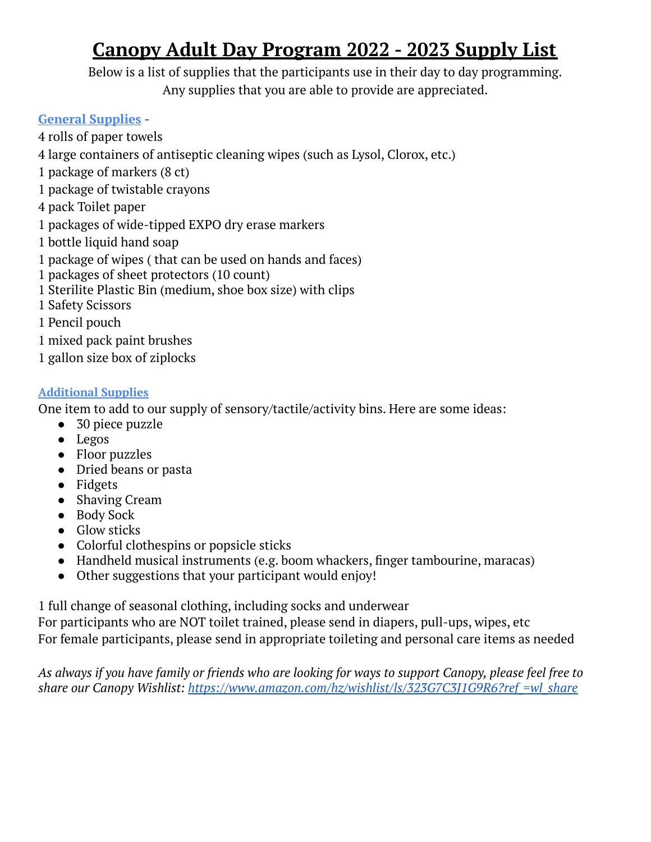# **Canopy Adult Day Program 2022 - 2023 Supply List**

Below is a list of supplies that the participants use in their day to day programming. Any supplies that you are able to provide are appreciated.

### **General Supplies** -

 rolls of paper towels large containers of antiseptic cleaning wipes (such as Lysol, Clorox, etc.) package of markers (8 ct) package of twistable crayons pack Toilet paper packages of wide-tipped EXPO dry erase markers bottle liquid hand soap package of wipes ( that can be used on hands and faces) packages of sheet protectors (10 count) Sterilite Plastic Bin (medium, shoe box size) with clips Safety Scissors Pencil pouch mixed pack paint brushes gallon size box of ziplocks

### **Additional Supplies**

One item to add to our supply of sensory/tactile/activity bins. Here are some ideas:

- 30 piece puzzle
- Legos
- Floor puzzles
- Dried beans or pasta
- Fidgets
- Shaving Cream
- Body Sock
- Glow sticks
- Colorful clothespins or popsicle sticks
- Handheld musical instruments (e.g. boom whackers, finger tambourine, maracas)
- Other suggestions that your participant would enjoy!

1 full change of seasonal clothing, including socks and underwear

For participants who are NOT toilet trained, please send in diapers, pull-ups, wipes, etc For female participants, please send in appropriate toileting and personal care items as needed

As always if you have family or friends who are looking for ways to support Canopy, please feel free to *share our Canopy Wishlist: [https://www.amazon.com/hz/wishlist/ls/323G7C3J1G9R6?ref\\_=wl\\_share](https://www.amazon.com/hz/wishlist/ls/323G7C3J1G9R6?ref_=wl_share)*